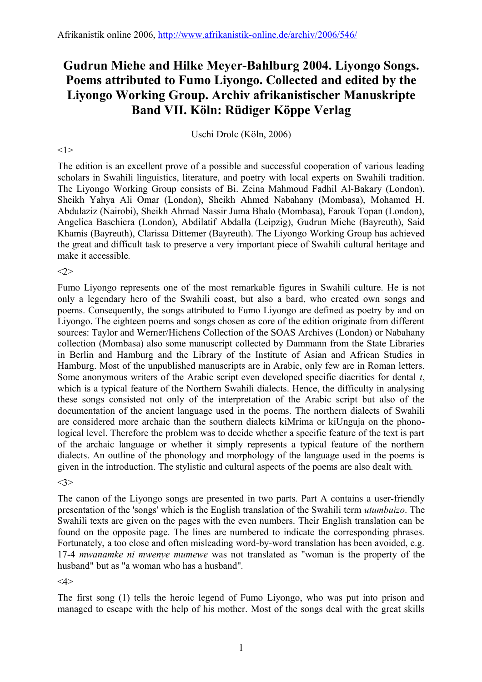## **Gudrun Miehe and Hilke Meyer-Bahlburg 2004. Liyongo Songs. Poems attributed to Fumo Liyongo. Collected and edited by the Liyongo Working Group. Archiv afrikanistischer Manuskripte Band VII. Köln: Rüdiger Köppe Verlag**

Uschi Drolc (Köln, 2006)

## <1>

The edition is an excellent prove of a possible and successful cooperation of various leading scholars in Swahili linguistics, literature, and poetry with local experts on Swahili tradition. The Liyongo Working Group consists of Bi. Zeina Mahmoud Fadhil Al-Bakary (London), Sheikh Yahya Ali Omar (London), Sheikh Ahmed Nabahany (Mombasa), Mohamed H. Abdulaziz (Nairobi), Sheikh Ahmad Nassir Juma Bhalo (Mombasa), Farouk Topan (London), Angelica Baschiera (London), Abdilatif Abdalla (Leipzig), Gudrun Miehe (Bayreuth), Said Khamis (Bayreuth), Clarissa Dittemer (Bayreuth). The Liyongo Working Group has achieved the great and difficult task to preserve a very important piece of Swahili cultural heritage and make it accessible*.*

<2>

Fumo Liyongo represents one of the most remarkable figures in Swahili culture. He is not only a legendary hero of the Swahili coast, but also a bard, who created own songs and poems. Consequently, the songs attributed to Fumo Liyongo are defined as poetry by and on Liyongo. The eighteen poems and songs chosen as core of the edition originate from different sources: Taylor and Werner/Hichens Collection of the SOAS Archives (London) or Nabahany collection (Mombasa) also some manuscript collected by Dammann from the State Libraries in Berlin and Hamburg and the Library of the Institute of Asian and African Studies in Hamburg. Most of the unpublished manuscripts are in Arabic, only few are in Roman letters. Some anonymous writers of the Arabic script even developed specific diacritics for dental *t*, which is a typical feature of the Northern Swahili dialects. Hence, the difficulty in analysing these songs consisted not only of the interpretation of the Arabic script but also of the documentation of the ancient language used in the poems. The northern dialects of Swahili are considered more archaic than the southern dialects kiMrima or kiUnguja on the phonological level. Therefore the problem was to decide whether a specific feature of the text is part of the archaic language or whether it simply represents a typical feature of the northern dialects. An outline of the phonology and morphology of the language used in the poems is given in the introduction. The stylistic and cultural aspects of the poems are also dealt with*.*

<3>

The canon of the Liyongo songs are presented in two parts. Part A contains a user-friendly presentation of the 'songs' which is the English translation of the Swahili term *utumbuizo*. The Swahili texts are given on the pages with the even numbers. Their English translation can be found on the opposite page. The lines are numbered to indicate the corresponding phrases. Fortunately, a too close and often misleading word-by-word translation has been avoided, e.g. 17-4 *mwanamke ni mwenye mumewe* was not translated as "woman is the property of the husband" but as "a woman who has a husband"*.*

<4>

The first song (1) tells the heroic legend of Fumo Liyongo, who was put into prison and managed to escape with the help of his mother. Most of the songs deal with the great skills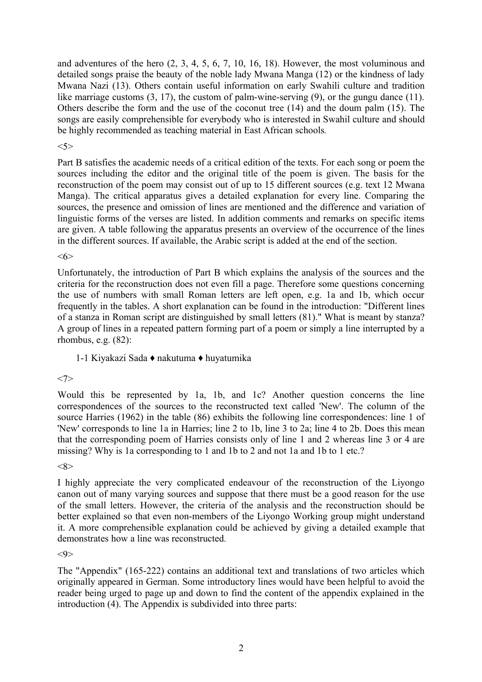and adventures of the hero (2, 3, 4, 5, 6, 7, 10, 16, 18). However, the most voluminous and detailed songs praise the beauty of the noble lady Mwana Manga (12) or the kindness of lady Mwana Nazi (13). Others contain useful information on early Swahili culture and tradition like marriage customs  $(3, 17)$ , the custom of palm-wine-serving  $(9)$ , or the gungu dance  $(11)$ . Others describe the form and the use of the coconut tree (14) and the doum palm (15). The songs are easily comprehensible for everybody who is interested in Swahil culture and should be highly recommended as teaching material in East African schools*.*

<5>

Part B satisfies the academic needs of a critical edition of the texts. For each song or poem the sources including the editor and the original title of the poem is given. The basis for the reconstruction of the poem may consist out of up to 15 different sources (e.g. text 12 Mwana Manga). The critical apparatus gives a detailed explanation for every line. Comparing the sources, the presence and omission of lines are mentioned and the difference and variation of linguistic forms of the verses are listed. In addition comments and remarks on specific items are given. A table following the apparatus presents an overview of the occurrence of the lines in the different sources. If available, the Arabic script is added at the end of the section.

<6>

Unfortunately, the introduction of Part B which explains the analysis of the sources and the criteria for the reconstruction does not even fill a page. Therefore some questions concerning the use of numbers with small Roman letters are left open, e.g. 1a and 1b, which occur frequently in the tables. A short explanation can be found in the introduction: "Different lines of a stanza in Roman script are distinguished by small letters (81)." What is meant by stanza? A group of lines in a repeated pattern forming part of a poem or simply a line interrupted by a rhombus, e.g. (82):

1-1 Kiyakazi Sada ♦ nakutuma ♦ huyatumika

<7>

Would this be represented by 1a, 1b, and 1c? Another question concerns the line correspondences of the sources to the reconstructed text called 'New'. The column of the source Harries (1962) in the table (86) exhibits the following line correspondences: line 1 of 'New' corresponds to line 1a in Harries; line 2 to 1b, line 3 to 2a; line 4 to 2b. Does this mean that the corresponding poem of Harries consists only of line 1 and 2 whereas line 3 or 4 are missing? Why is 1a corresponding to 1 and 1b to 2 and not 1a and 1b to 1 etc.?

 $<\!\!8\!\!>$ 

I highly appreciate the very complicated endeavour of the reconstruction of the Liyongo canon out of many varying sources and suppose that there must be a good reason for the use of the small letters. However, the criteria of the analysis and the reconstruction should be better explained so that even non-members of the Liyongo Working group might understand it. A more comprehensible explanation could be achieved by giving a detailed example that demonstrates how a line was reconstructed*.*

<9>

The "Appendix" (165-222) contains an additional text and translations of two articles which originally appeared in German. Some introductory lines would have been helpful to avoid the reader being urged to page up and down to find the content of the appendix explained in the introduction (4). The Appendix is subdivided into three parts: